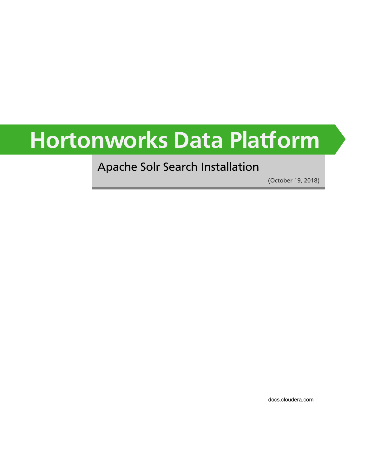# **Hortonworks Data Platform**

# Apache Solr Search Installation

(October 19, 2018)

[docs.cloudera.com](http://docs.cloudera.com)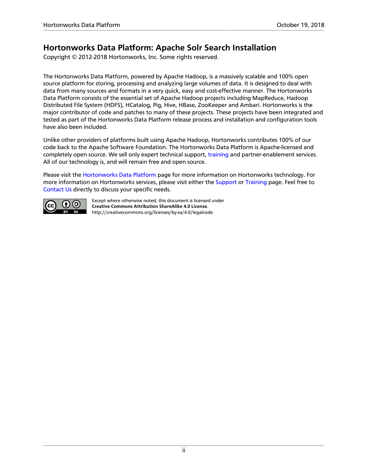### **Hortonworks Data Platform: Apache Solr Search Installation**

Copyright © 2012-2018 Hortonworks, Inc. Some rights reserved.

The Hortonworks Data Platform, powered by Apache Hadoop, is a massively scalable and 100% open source platform for storing, processing and analyzing large volumes of data. It is designed to deal with data from many sources and formats in a very quick, easy and cost-effective manner. The Hortonworks Data Platform consists of the essential set of Apache Hadoop projects including MapReduce, Hadoop Distributed File System (HDFS), HCatalog, Pig, Hive, HBase, ZooKeeper and Ambari. Hortonworks is the major contributor of code and patches to many of these projects. These projects have been integrated and tested as part of the Hortonworks Data Platform release process and installation and configuration tools have also been included.

Unlike other providers of platforms built using Apache Hadoop, Hortonworks contributes 100% of our code back to the Apache Software Foundation. The Hortonworks Data Platform is Apache-licensed and completely open source. We sell only expert technical support, [training](https://hortonworks.com/training/) and partner-enablement services. All of our technology is, and will remain free and open source.

Please visit the [Hortonworks Data Platform](https://hortonworks.com/products/hdp/) page for more information on Hortonworks technology. For more information on Hortonworks services, please visit either the [Support](https://hortonworks.com/services/) or [Training](https://hortonworks.com/training/) page. Feel free to [Contact Us](https://hortonworks.com/contact-us/) directly to discuss your specific needs.



Except where otherwise noted, this document is licensed under **[Creative Commons Attribution ShareAlike 4.0 License](http://creativecommons.org/licenses/by-sa/4.0/legalcode)**. <http://creativecommons.org/licenses/by-sa/4.0/legalcode>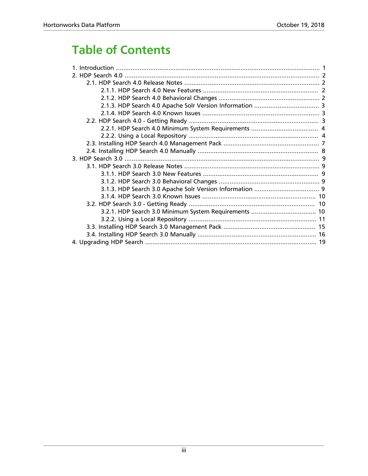# **Table of Contents**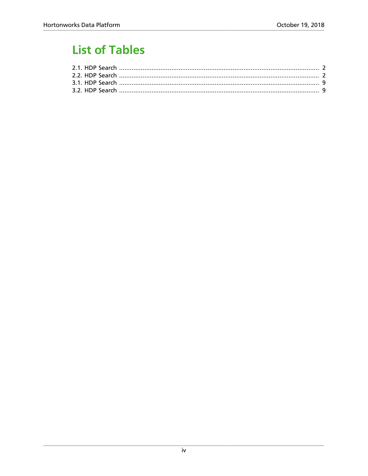# **List of Tables**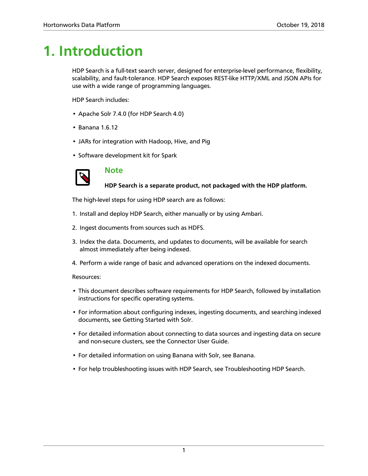# <span id="page-4-0"></span>**1. Introduction**

HDP Search is a full-text search server, designed for enterprise-level performance, flexibility, scalability, and fault-tolerance. HDP Search exposes REST-like HTTP/XML and JSON APIs for use with a wide range of programming languages.

HDP Search includes:

- Apache Solr 7.4.0 (for HDP Search 4.0)
- Banana 1.6.12
- JARs for integration with Hadoop, Hive, and Pig
- Software development kit for Spark



### **Note**

**HDP Search is a separate product, not packaged with the HDP platform.**

The high-level steps for using HDP search are as follows:

- 1. Install and deploy HDP Search, either manually or by using Ambari.
- 2. Ingest documents from sources such as HDFS.
- 3. Index the data. Documents, and updates to documents, will be available for search almost immediately after being indexed.
- 4. Perform a wide range of basic and advanced operations on the indexed documents.

#### Resources:

- This document describes software requirements for HDP Search, followed by installation instructions for specific operating systems.
- For information about configuring indexes, ingesting documents, and searching indexed documents, see Getting Started with Solr.
- For detailed information about connecting to data sources and ingesting data on secure and non-secure clusters, see the Connector User Guide.
- For detailed information on using Banana with Solr, see Banana.
- For help troubleshooting issues with HDP Search, see Troubleshooting HDP Search.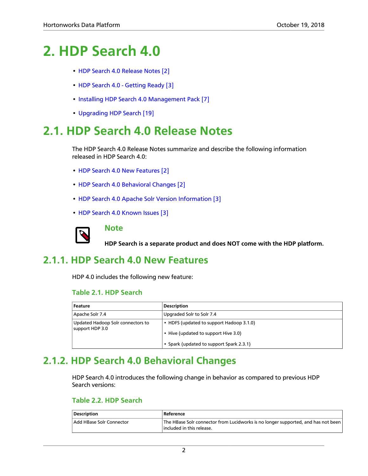# <span id="page-5-0"></span>**2. HDP Search 4.0**

- [HDP Search 4.0 Release Notes \[2\]](#page-5-1)
- [HDP Search 4.0 Getting Ready \[3\]](#page-6-2)
- [Installing HDP Search 4.0 Management Pack \[7\]](#page-10-0)
- [Upgrading HDP Search \[19\]](#page-22-0)

# <span id="page-5-1"></span>**2.1. HDP Search 4.0 Release Notes**

The HDP Search 4.0 Release Notes summarize and describe the following information released in HDP Search 4.0:

- [HDP Search 4.0 New Features \[2\]](#page-5-2)
- [HDP Search 4.0 Behavioral Changes \[2\]](#page-5-3)
- [HDP Search 4.0 Apache Solr Version Information \[3\]](#page-6-0)
- [HDP Search 4.0 Known Issues \[3\]](#page-6-1)



### **Note**

**HDP Search is a separate product and does NOT come with the HDP platform.**

# <span id="page-5-4"></span><span id="page-5-2"></span>**2.1.1. HDP Search 4.0 New Features**

HDP 4.0 includes the following new feature:

### **Table 2.1. HDP Search**

| Feature                                              | <b>Description</b>                                                               |
|------------------------------------------------------|----------------------------------------------------------------------------------|
| Apache Solr 7.4                                      | Upgraded Solr to Solr 7.4                                                        |
| Updated Hadoop Solr connectors to<br>support HDP 3.0 | • HDFS (updated to support Hadoop 3.1.0)<br>• Hive (updated to support Hive 3.0) |
|                                                      | • Spark (updated to support Spark 2.3.1)                                         |

# <span id="page-5-3"></span>**2.1.2. HDP Search 4.0 Behavioral Changes**

HDP Search 4.0 introduces the following change in behavior as compared to previous HDP Search versions:

### <span id="page-5-5"></span>**Table 2.2. HDP Search**

| Description              | Reference                                                                                                      |
|--------------------------|----------------------------------------------------------------------------------------------------------------|
| Add HBase Solr Connector | The HBase Solr connector from Lucidworks is no longer supported, and has not been<br>included in this release. |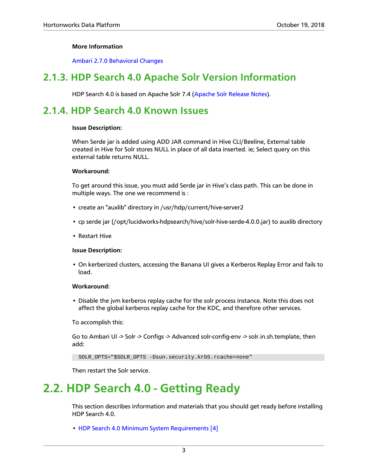### **More Information**

[Ambari 2.7.0 Behavioral Changes](https://docs.hortonworks.com/HDPDocuments/Ambari-2.7.0.0/bk_ambari-release-notes/content/ambari_relnotes-2.7.0.0-behavioral-changes.html)

# <span id="page-6-0"></span>**2.1.3. HDP Search 4.0 Apache Solr Version Information**

HDP Search 4.0 is based on Apache Solr 7.4 [\(Apache Solr Release Notes](http://lucene.apache.org/solr/7_4_0/changes/Changes.html)).

## <span id="page-6-1"></span>**2.1.4. HDP Search 4.0 Known Issues**

#### **Issue Description:**

When Serde jar is added using ADD JAR command in Hive CLI/Beeline, External table created in Hive for Solr stores NULL in place of all data inserted. ie; Select query on this external table returns NULL.

#### **Workaround:**

To get around this issue, you must add Serde jar in Hive's class path. This can be done in multiple ways. The one we recommend is :

- create an "auxlib" directory in /usr/hdp/current/hive-server2
- cp serde jar (/opt/lucidworks-hdpsearch/hive/solr-hive-serde-4.0.0.jar) to auxlib directory
- Restart Hive

#### **Issue Description:**

• On kerberized clusters, accessing the Banana UI gives a Kerberos Replay Error and fails to load.

### **Workaround:**

• Disable the jvm kerberos replay cache for the solr process instance. Note this does not affect the global kerberos replay cache for the KDC, and therefore other services.

To accomplish this:

Go to Ambari UI -> Solr -> Configs -> Advanced solr-config-env -> solr.in.sh.template, then add:

SOLR\_OPTS="\$SOLR\_OPTS -Dsun.security.krb5.rcache=none"

Then restart the Solr service.

# <span id="page-6-2"></span>**2.2. HDP Search 4.0 - Getting Ready**

This section describes information and materials that you should get ready before installing HDP Search 4.0.

• [HDP Search 4.0 Minimum System Requirements \[4\]](#page-7-0)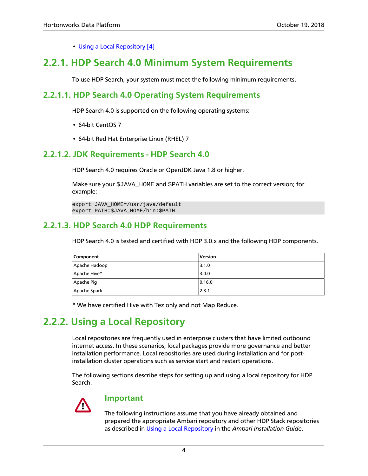• [Using a Local Repository \[4\]](#page-7-1)

# <span id="page-7-0"></span>**2.2.1. HDP Search 4.0 Minimum System Requirements**

To use HDP Search, your system must meet the following minimum requirements.

### **2.2.1.1. HDP Search 4.0 Operating System Requirements**

HDP Search 4.0 is supported on the following operating systems:

- 64-bit CentOS 7
- 64-bit Red Hat Enterprise Linux (RHEL) 7

### **2.2.1.2. JDK Requirements - HDP Search 4.0**

HDP Search 4.0 requires Oracle or OpenJDK Java 1.8 or higher.

Make sure your \$JAVA\_HOME and \$PATH variables are set to the correct version; for example:

```
export JAVA_HOME=/usr/java/default
export PATH=$JAVA_HOME/bin:$PATH
```
### **2.2.1.3. HDP Search 4.0 HDP Requirements**

HDP Search 4.0 is tested and certified with HDP 3.0.x and the following HDP components.

| Component     | <b>Version</b> |
|---------------|----------------|
| Apache Hadoop | 3.1.0          |
| Apache Hive*  | 3.0.0          |
| Apache Pig    | 0.16.0         |
| Apache Spark  | 2.3.1          |

\* We have certified Hive with Tez only and not Map Reduce.

# <span id="page-7-1"></span>**2.2.2. Using a Local Repository**

Local repositories are frequently used in enterprise clusters that have limited outbound internet access. In these scenarios, local packages provide more governance and better installation performance. Local repositories are used during installation and for postinstallation cluster operations such as service start and restart operations.

The following sections describe steps for setting up and using a local repository for HDP Search.



### **Important**

The following instructions assume that you have already obtained and prepared the appropriate Ambari repository and other HDP Stack repositories as described in [Using a Local Repository](https://docs.hortonworks.com/HDPDocuments/Ambari-2.7.0.0/bk_ambari-installation/content/ch_using-local-repos.html) in the *Ambari Installation Guide*.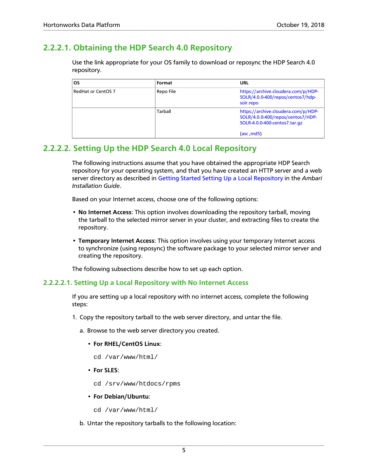### **2.2.2.1. Obtaining the HDP Search 4.0 Repository**

Use the link appropriate for your OS family to download or reposync the HDP Search 4.0 repository.

| <b>OS</b>          | Format    | URL                                                                                                                     |
|--------------------|-----------|-------------------------------------------------------------------------------------------------------------------------|
| RedHat or CentOS 7 | Repo File | https://archive.cloudera.com/p/HDP-<br>SOLR/4.0.0-400/repos/centos7/hdp-<br>solr.repo                                   |
|                    | Tarball   | https://archive.cloudera.com/p/HDP-<br>SOLR/4.0.0-400/repos/centos7/HDP-<br>SOLR-4.0.0-400-centos7.tar.gz<br>(asc, md5) |

### **2.2.2.2. Setting Up the HDP Search 4.0 Local Repository**

The following instructions assume that you have obtained the appropriate HDP Search repository for your operating system, and that you have created an HTTP server and a web server directory as described in [Getting Started Setting Up a Local Repository](https://docs.hortonworks.com/HDPDocuments/Ambari-2.7.0.0/bk_ambari-installation/content/getting_started_setting_up_a_local_repository.html) in the *Ambari Installation Guide*.

Based on your Internet access, choose one of the following options:

- **No Internet Access**: This option involves downloading the repository tarball, moving the tarball to the selected mirror server in your cluster, and extracting files to create the repository.
- **Temporary Internet Access**: This option involves using your temporary Internet access to synchronize (using reposync) the software package to your selected mirror server and creating the repository.

The following subsections describe how to set up each option.

### **2.2.2.2.1. Setting Up a Local Repository with No Internet Access**

If you are setting up a local repository with no internet access, complete the following steps:

1. Copy the repository tarball to the web server directory, and untar the file.

a. Browse to the web server directory you created.

- **For RHEL/CentOS Linux**:
	- cd /var/www/html/
- **For SLES**:
	- cd /srv/www/htdocs/rpms
- **For Debian/Ubuntu**:
	- cd /var/www/html/

b. Untar the repository tarballs to the following location: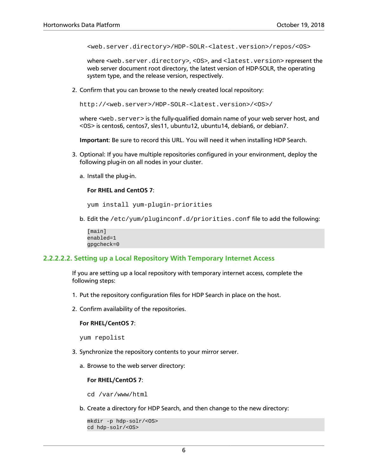<web.server.directory>/HDP-SOLR-<latest.version>/repos/<OS>

where <web.server.directory>, <OS>, and <latest.version>represent the web server document root directory, the latest version of HDP-SOLR, the operating system type, and the release version, respectively.

2. Confirm that you can browse to the newly created local repository:

http://<web.server>/HDP-SOLR-<latest.version>/<OS>/

where <web. server> is the fully-qualified domain name of your web server host, and <OS> is centos6, centos7, sles11, ubuntu12, ubuntu14, debian6, or debian7.

**Important**: Be sure to record this URL. You will need it when installing HDP Search.

- 3. Optional: If you have multiple repositories configured in your environment, deploy the following plug-in on all nodes in your cluster.
	- a. Install the plug-in.

#### **For RHEL and CentOS 7**:

yum install yum-plugin-priorities

b. Edit the /etc/yum/pluginconf.d/priorities.conf file to add the following:

```
[main]
enabled=1
gpgcheck=0
```
### **2.2.2.2.2. Setting up a Local Repository With Temporary Internet Access**

If you are setting up a local repository with temporary internet access, complete the following steps:

- 1. Put the repository configuration files for HDP Search in place on the host.
- 2. Confirm availability of the repositories.

#### **For RHEL/CentOS 7**:

yum repolist

- 3. Synchronize the repository contents to your mirror server.
	- a. Browse to the web server directory:

### **For RHEL/CentOS 7**:

cd /var/www/html

b. Create a directory for HDP Search, and then change to the new directory:

```
mkdir -p hdp-solr/<OS>
cd hdp-solr/<OS>
```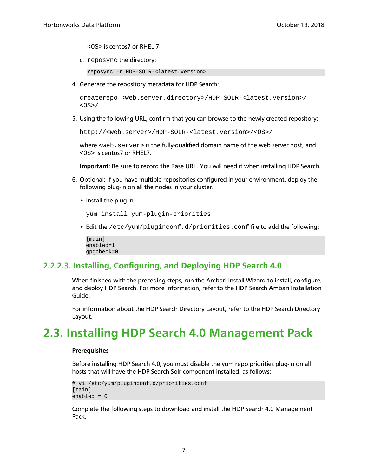<OS> is centos7 or RHEL 7

c. reposync the directory:

reposync -r HDP-SOLR-<latest.version>

4. Generate the repository metadata for HDP Search:

```
createrepo <web.server.directory>/HDP-SOLR-<latest.version>/
<OS>/
```
5. Using the following URL, confirm that you can browse to the newly created repository:

http://<web.server>/HDP-SOLR-<latest.version>/<OS>/

where <web. server> is the fully-qualified domain name of the web server host, and <OS> is centos7 or RHEL7.

**Important**: Be sure to record the Base URL. You will need it when installing HDP Search.

- 6. Optional: If you have multiple repositories configured in your environment, deploy the following plug-in on all the nodes in your cluster.
	- Install the plug-in.

```
yum install yum-plugin-priorities
```
• Edit the /etc/yum/pluginconf.d/priorities.conf file to add the following:

```
[main]
enabled=1
gpgcheck=0
```
### **2.2.2.3. Installing, Configuring, and Deploying HDP Search 4.0**

When finished with the preceding steps, run the Ambari Install Wizard to install, configure, and deploy HDP Search. For more information, refer to the HDP Search Ambari Installation Guide.

For information about the HDP Search Directory Layout, refer to the HDP Search Directory Layout.

# <span id="page-10-0"></span>**2.3. Installing HDP Search 4.0 Management Pack**

#### **Prerequisites**

Before installing HDP Search 4.0, you must disable the yum repo priorities plug-in on all hosts that will have the HDP Search Solr component installed, as follows:

```
# vi /etc/yum/pluginconf.d/priorities.conf
[main]
enabled = 0
```
Complete the following steps to download and install the HDP Search 4.0 Management Pack.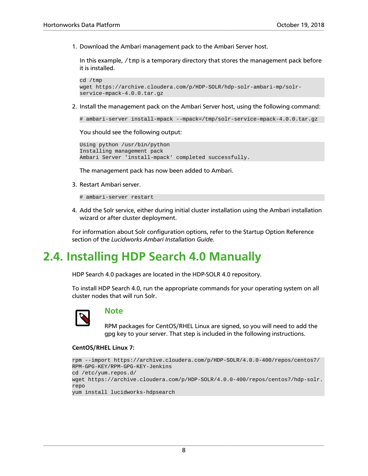1. Download the Ambari management pack to the Ambari Server host.

In this example,  $/$ tmp is a temporary directory that stores the management pack before it is installed.

```
cd /tmp
wget https://archive.cloudera.com/p/HDP-SOLR/hdp-solr-ambari-mp/solr-
service-mpack-4.0.0.tar.gz
```
2. Install the management pack on the Ambari Server host, using the following command:

```
# ambari-server install-mpack --mpack=/tmp/solr-service-mpack-4.0.0.tar.gz
```
You should see the following output:

```
Using python /usr/bin/python
Installing management pack
Ambari Server 'install-mpack' completed successfully.
```
The management pack has now been added to Ambari.

3. Restart Ambari server.

# ambari-server restart

4. Add the Solr service, either during initial cluster installation using the Ambari installation wizard or after cluster deployment.

For information about Solr configuration options, refer to the Startup Option Reference section of the *Lucidworks Ambari Installation Guide.*

# <span id="page-11-0"></span>**2.4. Installing HDP Search 4.0 Manually**

HDP Search 4.0 packages are located in the HDP-SOLR 4.0 repository.

To install HDP Search 4.0, run the appropriate commands for your operating system on all cluster nodes that will run Solr.



### **Note**

RPM packages for CentOS/RHEL Linux are signed, so you will need to add the gpg key to your server. That step is included in the following instructions.

#### **CentOS/RHEL Linux 7:**

```
rpm --import https://archive.cloudera.com/p/HDP-SOLR/4.0.0-400/repos/centos7/
RPM-GPG-KEY/RPM-GPG-KEY-Jenkins
cd /etc/yum.repos.d/
wget https://archive.cloudera.com/p/HDP-SOLR/4.0.0-400/repos/centos7/hdp-solr.
repo
yum install lucidworks-hdpsearch
```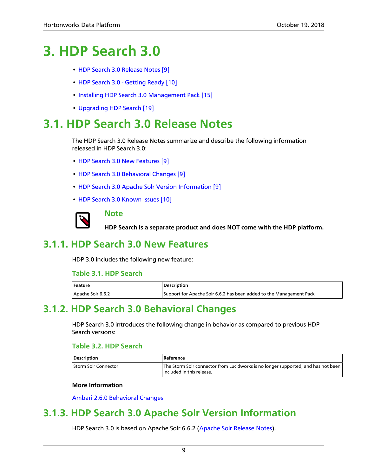# <span id="page-12-0"></span>**3. HDP Search 3.0**

- [HDP Search 3.0 Release Notes \[9\]](#page-12-1)
- [HDP Search 3.0 Getting Ready \[10\]](#page-13-1)
- [Installing HDP Search 3.0 Management Pack \[15\]](#page-18-0)
- [Upgrading HDP Search \[19\]](#page-22-0)

# <span id="page-12-1"></span>**3.1. HDP Search 3.0 Release Notes**

The HDP Search 3.0 Release Notes summarize and describe the following information released in HDP Search 3.0:

- [HDP Search 3.0 New Features \[9\]](#page-12-2)
- [HDP Search 3.0 Behavioral Changes \[9\]](#page-12-3)
- [HDP Search 3.0 Apache Solr Version Information \[9\]](#page-12-4)
- [HDP Search 3.0 Known Issues \[10\]](#page-13-0)



### **Note**

**HDP Search is a separate product and does NOT come with the HDP platform.**

# <span id="page-12-5"></span><span id="page-12-2"></span>**3.1.1. HDP Search 3.0 New Features**

HDP 3.0 includes the following new feature:

### **Table 3.1. HDP Search**

| Feature           | Description                                                         |
|-------------------|---------------------------------------------------------------------|
| Apache Solr 6.6.2 | Support for Apache Solr 6.6.2 has been added to the Management Pack |

# <span id="page-12-3"></span>**3.1.2. HDP Search 3.0 Behavioral Changes**

HDP Search 3.0 introduces the following change in behavior as compared to previous HDP Search versions:

### <span id="page-12-6"></span>**Table 3.2. HDP Search**

| Description          | Reference                                                                                                             |  |
|----------------------|-----------------------------------------------------------------------------------------------------------------------|--|
| Storm Solr Connector | The Storm Solr connector from Lucidworks is no longer supported, and has not been<br>$\mid$ included in this release. |  |

### **More Information**

[Ambari 2.6.0 Behavioral Changes](https://docs.hortonworks.com/HDPDocuments/Ambari-2.6.0.0/bk_ambari-release-notes/content/ambari_relnotes-2.6.0.0-behavioral-changes.html)

# <span id="page-12-4"></span>**3.1.3. HDP Search 3.0 Apache Solr Version Information**

HDP Search 3.0 is based on Apache Solr 6.6.2 ([Apache Solr Release Notes\)](http://lucene.apache.org/solr/6_6_2/changes/Changes.html).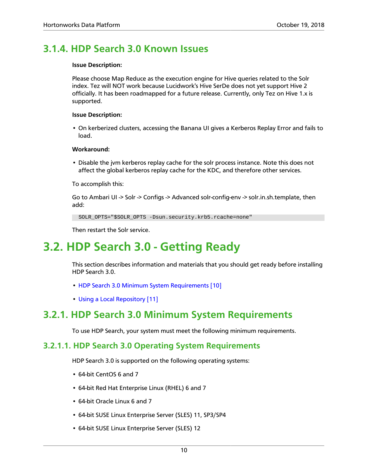# <span id="page-13-0"></span>**3.1.4. HDP Search 3.0 Known Issues**

### **Issue Description:**

Please choose Map Reduce as the execution engine for Hive queries related to the Solr index. Tez will NOT work because Lucidwork's Hive SerDe does not yet support Hive 2 officially. It has been roadmapped for a future release. Currently, only Tez on Hive 1.x is supported.

### **Issue Description:**

• On kerberized clusters, accessing the Banana UI gives a Kerberos Replay Error and fails to load.

### **Workaround:**

• Disable the jvm kerberos replay cache for the solr process instance. Note this does not affect the global kerberos replay cache for the KDC, and therefore other services.

To accomplish this:

Go to Ambari UI -> Solr -> Configs -> Advanced solr-config-env -> solr.in.sh.template, then add:

SOLR\_OPTS="\$SOLR\_OPTS -Dsun.security.krb5.rcache=none"

Then restart the Solr service.

# <span id="page-13-1"></span>**3.2. HDP Search 3.0 - Getting Ready**

This section describes information and materials that you should get ready before installing HDP Search 3.0.

- [HDP Search 3.0 Minimum System Requirements \[10\]](#page-13-2)
- [Using a Local Repository \[11\]](#page-14-0)

# <span id="page-13-2"></span>**3.2.1. HDP Search 3.0 Minimum System Requirements**

To use HDP Search, your system must meet the following minimum requirements.

### **3.2.1.1. HDP Search 3.0 Operating System Requirements**

HDP Search 3.0 is supported on the following operating systems:

- 64-bit CentOS 6 and 7
- 64-bit Red Hat Enterprise Linux (RHEL) 6 and 7
- 64-bit Oracle Linux 6 and 7
- 64-bit SUSE Linux Enterprise Server (SLES) 11, SP3/SP4
- 64-bit SUSE Linux Enterprise Server (SLES) 12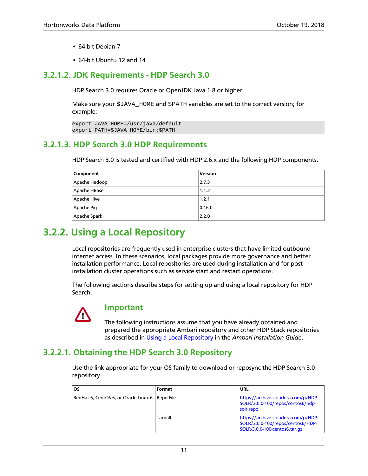- 64-bit Debian 7
- 64-bit Ubuntu 12 and 14

### **3.2.1.2. JDK Requirements - HDP Search 3.0**

HDP Search 3.0 requires Oracle or OpenJDK Java 1.8 or higher.

Make sure your \$JAVA\_HOME and \$PATH variables are set to the correct version; for example:

```
export JAVA_HOME=/usr/java/default
export PATH=$JAVA_HOME/bin:$PATH
```
### **3.2.1.3. HDP Search 3.0 HDP Requirements**

HDP Search 3.0 is tested and certified with HDP 2.6.x and the following HDP components.

| Component     | Version |
|---------------|---------|
| Apache Hadoop | 2.7.3   |
| Apache HBase  | 1.1.2   |
| Apache Hive   | 1.2.1   |
| Apache Pig    | 0.16.0  |
| Apache Spark  | 2.2.0   |

# <span id="page-14-0"></span>**3.2.2. Using a Local Repository**

Local repositories are frequently used in enterprise clusters that have limited outbound internet access. In these scenarios, local packages provide more governance and better installation performance. Local repositories are used during installation and for postinstallation cluster operations such as service start and restart operations.

The following sections describe steps for setting up and using a local repository for HDP Search.



### **Important**

The following instructions assume that you have already obtained and prepared the appropriate Ambari repository and other HDP Stack repositories as described in [Using a Local Repository](https://docs.hortonworks.com/HDPDocuments/Ambari-2.7.0.0/bk_ambari-installation/content/ch_using-local-repos.html) in the *Ambari Installation Guide*.

### **3.2.2.1. Obtaining the HDP Search 3.0 Repository**

Use the link appropriate for your OS family to download or reposync the HDP Search 3.0 repository.

| <b>OS</b>                                         | Format  | URL                                                                                                       |
|---------------------------------------------------|---------|-----------------------------------------------------------------------------------------------------------|
| RedHat 6, CentOS 6, or Oracle Linux 6   Repo File |         | https://archive.cloudera.com/p/HDP-<br>SOLR/3.0.0-100/repos/centos6/hdp-<br>solr.repo                     |
|                                                   | Tarball | https://archive.cloudera.com/p/HDP-<br>SOLR/3.0.0-100/repos/centos6/HDP-<br>SOLR-3.0.0-100-centos6.tar.gz |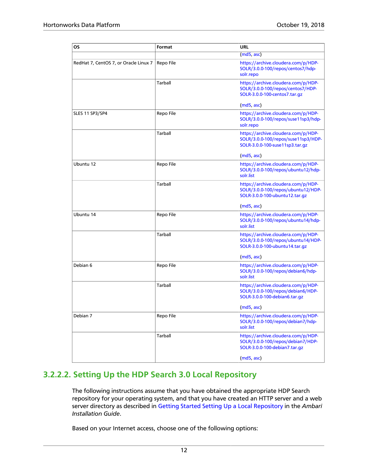| ΟS                                    | Format         | <b>URL</b>                                                                                                    |
|---------------------------------------|----------------|---------------------------------------------------------------------------------------------------------------|
|                                       |                | (md5, asc)                                                                                                    |
| RedHat 7, CentOS 7, or Oracle Linux 7 | Repo File      | https://archive.cloudera.com/p/HDP-<br>SOLR/3.0.0-100/repos/centos7/hdp-<br>solr.repo                         |
|                                       | Tarball        | https://archive.cloudera.com/p/HDP-<br>SOLR/3.0.0-100/repos/centos7/HDP-<br>SOLR-3.0.0-100-centos7.tar.gz     |
|                                       |                | (md5, asc)                                                                                                    |
| <b>SLES 11 SP3/SP4</b>                | Repo File      | https://archive.cloudera.com/p/HDP-<br>SOLR/3.0.0-100/repos/suse11sp3/hdp-<br>solr.repo                       |
|                                       | Tarball        | https://archive.cloudera.com/p/HDP-<br>SOLR/3.0.0-100/repos/suse11sp3/HDP-<br>SOLR-3.0.0-100-suse11sp3.tar.gz |
|                                       |                | (md5, asc)                                                                                                    |
| Ubuntu 12                             | Repo File      | https://archive.cloudera.com/p/HDP-<br>SOLR/3.0.0-100/repos/ubuntu12/hdp-<br>solr.list                        |
|                                       | <b>Tarball</b> | https://archive.cloudera.com/p/HDP-<br>SOLR/3.0.0-100/repos/ubuntu12/HDP-<br>SOLR-3.0.0-100-ubuntu12.tar.gz   |
|                                       |                | (md5, asc)                                                                                                    |
| Ubuntu 14                             | Repo File      | https://archive.cloudera.com/p/HDP-<br>SOLR/3.0.0-100/repos/ubuntu14/hdp-<br>solr.list                        |
|                                       | Tarball        | https://archive.cloudera.com/p/HDP-<br>SOLR/3.0.0-100/repos/ubuntu14/HDP-<br>SOLR-3.0.0-100-ubuntu14.tar.gz   |
|                                       |                | (md5, asc)                                                                                                    |
| Debian 6                              | Repo File      | https://archive.cloudera.com/p/HDP-<br>SOLR/3.0.0-100/repos/debian6/hdp-<br>solr.list                         |
|                                       | Tarball        | https://archive.cloudera.com/p/HDP-<br>SOLR/3.0.0-100/repos/debian6/HDP-<br>SOLR-3.0.0-100-debian6.tar.gz     |
|                                       |                | (md5, asc)                                                                                                    |
| Debian 7                              | Repo File      | https://archive.cloudera.com/p/HDP-<br>SOLR/3.0.0-100/repos/debian7/hdp-<br>solr.list                         |
|                                       | Tarball        | https://archive.cloudera.com/p/HDP-<br>SOLR/3.0.0-100/repos/debian7/HDP-<br>SOLR-3.0.0-100-debian7.tar.gz     |
|                                       |                | (md5, asc)                                                                                                    |

### **3.2.2.2. Setting Up the HDP Search 3.0 Local Repository**

The following instructions assume that you have obtained the appropriate HDP Search repository for your operating system, and that you have created an HTTP server and a web server directory as described in [Getting Started Setting Up a Local Repository](https://docs.hortonworks.com/HDPDocuments/Ambari-2.7.0.0/bk_ambari-installation/content/getting_started_setting_up_a_local_repository.html) in the *Ambari Installation Guide*.

Based on your Internet access, choose one of the following options: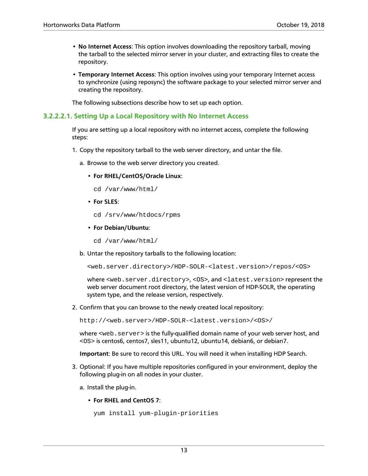- **No Internet Access**: This option involves downloading the repository tarball, moving the tarball to the selected mirror server in your cluster, and extracting files to create the repository.
- **Temporary Internet Access**: This option involves using your temporary Internet access to synchronize (using reposync) the software package to your selected mirror server and creating the repository.

The following subsections describe how to set up each option.

### **3.2.2.2.1. Setting Up a Local Repository with No Internet Access**

If you are setting up a local repository with no internet access, complete the following steps:

- 1. Copy the repository tarball to the web server directory, and untar the file.
	- a. Browse to the web server directory you created.
		- **For RHEL/CentOS/Oracle Linux**:

```
cd /var/www/html/
```
- **For SLES**:
	- cd /srv/www/htdocs/rpms
- **For Debian/Ubuntu**:
	- cd /var/www/html/
- b. Untar the repository tarballs to the following location:

```
<web.server.directory>/HDP-SOLR-<latest.version>/repos/<OS>
```
where <web.server.directory>, <0S>, and <latest.version>represent the web server document root directory, the latest version of HDP-SOLR, the operating system type, and the release version, respectively.

2. Confirm that you can browse to the newly created local repository:

http://<web.server>/HDP-SOLR-<latest.version>/<OS>/

where <web. server> is the fully-qualified domain name of your web server host, and <OS> is centos6, centos7, sles11, ubuntu12, ubuntu14, debian6, or debian7.

**Important**: Be sure to record this URL. You will need it when installing HDP Search.

- 3. Optional: If you have multiple repositories configured in your environment, deploy the following plug-in on all nodes in your cluster.
	- a. Install the plug-in.
		- **For RHEL and CentOS 7**:

```
yum install yum-plugin-priorities
```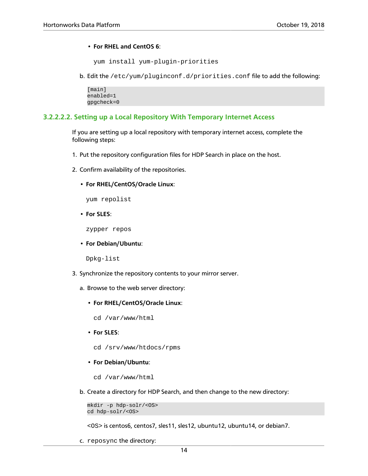### • **For RHEL and CentOS 6**:

```
yum install yum-plugin-priorities
```
b. Edit the /etc/yum/pluginconf.d/priorities.conf file to add the following:

[main] enabled=1 gpgcheck=0

### **3.2.2.2.2. Setting up a Local Repository With Temporary Internet Access**

If you are setting up a local repository with temporary internet access, complete the following steps:

- 1. Put the repository configuration files for HDP Search in place on the host.
- 2. Confirm availability of the repositories.
	- **For RHEL/CentOS/Oracle Linux**:

yum repolist

• **For SLES**:

zypper repos

• **For Debian/Ubuntu**:

Dpkg-list

- 3. Synchronize the repository contents to your mirror server.
	- a. Browse to the web server directory:
		- **For RHEL/CentOS/Oracle Linux**:

cd /var/www/html

- **For SLES**:
	- cd /srv/www/htdocs/rpms
- **For Debian/Ubuntu**:
	- cd /var/www/html
- b. Create a directory for HDP Search, and then change to the new directory:

mkdir -p hdp-solr/<OS> cd hdp-solr/<OS>

<OS> is centos6, centos7, sles11, sles12, ubuntu12, ubuntu14, or debian7.

c. reposync the directory: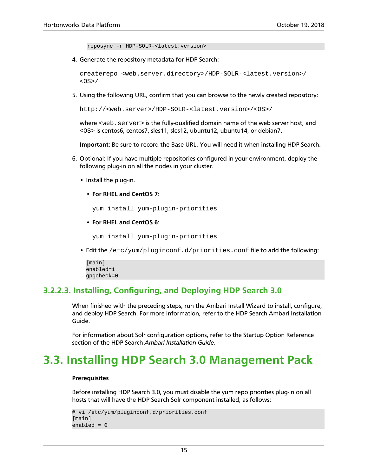reposync -r HDP-SOLR-<latest.version>

4. Generate the repository metadata for HDP Search:

createrepo <web.server.directory>/HDP-SOLR-<latest.version>/ <OS>/

5. Using the following URL, confirm that you can browse to the newly created repository:

http://<web.server>/HDP-SOLR-<latest.version>/<OS>/

where <web.server> is the fully-qualified domain name of the web server host, and <OS> is centos6, centos7, sles11, sles12, ubuntu12, ubuntu14, or debian7.

**Important**: Be sure to record the Base URL. You will need it when installing HDP Search.

- 6. Optional: If you have multiple repositories configured in your environment, deploy the following plug-in on all the nodes in your cluster.
	- Install the plug-in.
		- **For RHEL and CentOS 7**:

yum install yum-plugin-priorities

• **For RHEL and CentOS 6**:

yum install yum-plugin-priorities

• Edit the /etc/yum/pluginconf.d/priorities.conf file to add the following:

```
[main]
enabled=1
gpgcheck=0
```
### **3.2.2.3. Installing, Configuring, and Deploying HDP Search 3.0**

When finished with the preceding steps, run the Ambari Install Wizard to install, configure, and deploy HDP Search. For more information, refer to the HDP Search Ambari Installation Guide.

For information about Solr configuration options, refer to the Startup Option Reference section of the HDP Search *Ambari Installation Guide*.

# <span id="page-18-0"></span>**3.3. Installing HDP Search 3.0 Management Pack**

#### **Prerequisites**

Before installing HDP Search 3.0, you must disable the yum repo priorities plug-in on all hosts that will have the HDP Search Solr component installed, as follows:

```
# vi /etc/yum/pluginconf.d/priorities.conf
[main]
enabled = 0
```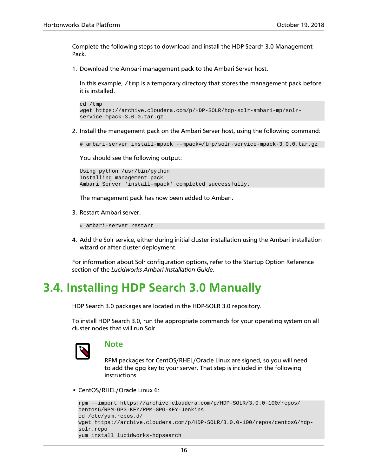Complete the following steps to download and install the HDP Search 3.0 Management Pack.

1. Download the Ambari management pack to the Ambari Server host.

In this example,  $/\text{tmp}$  is a temporary directory that stores the management pack before it is installed.

```
cd /tmp
wget https://archive.cloudera.com/p/HDP-SOLR/hdp-solr-ambari-mp/solr-
service-mpack-3.0.0.tar.gz
```
2. Install the management pack on the Ambari Server host, using the following command:

```
# ambari-server install-mpack --mpack=/tmp/solr-service-mpack-3.0.0.tar.gz
```
You should see the following output:

```
Using python /usr/bin/python
Installing management pack
Ambari Server 'install-mpack' completed successfully.
```
The management pack has now been added to Ambari.

3. Restart Ambari server.

# ambari-server restart

4. Add the Solr service, either during initial cluster installation using the Ambari installation wizard or after cluster deployment.

For information about Solr configuration options, refer to the Startup Option Reference section of the *Lucidworks Ambari Installation Guide.*

# <span id="page-19-0"></span>**3.4. Installing HDP Search 3.0 Manually**

HDP Search 3.0 packages are located in the HDP-SOLR 3.0 repository.

To install HDP Search 3.0, run the appropriate commands for your operating system on all cluster nodes that will run Solr.



### **Note**

RPM packages for CentOS/RHEL/Oracle Linux are signed, so you will need to add the gpg key to your server. That step is included in the following instructions.

• CentOS/RHEL/Oracle Linux 6:

```
rpm --import https://archive.cloudera.com/p/HDP-SOLR/3.0.0-100/repos/
centos6/RPM-GPG-KEY/RPM-GPG-KEY-Jenkins
cd /etc/yum.repos.d/
wget https://archive.cloudera.com/p/HDP-SOLR/3.0.0-100/repos/centos6/hdp-
solr.repo
yum install lucidworks-hdpsearch
```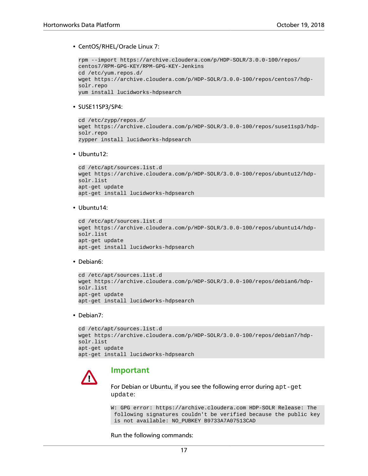#### • CentOS/RHEL/Oracle Linux 7:

```
rpm --import https://archive.cloudera.com/p/HDP-SOLR/3.0.0-100/repos/
centos7/RPM-GPG-KEY/RPM-GPG-KEY-Jenkins
cd /etc/yum.repos.d/
wget https://archive.cloudera.com/p/HDP-SOLR/3.0.0-100/repos/centos7/hdp-
solr.repo
yum install lucidworks-hdpsearch
```
#### • SUSE11SP3/SP4:

```
cd /etc/zypp/repos.d/
wget https://archive.cloudera.com/p/HDP-SOLR/3.0.0-100/repos/suse11sp3/hdp-
solr.repo
zypper install lucidworks-hdpsearch
```
#### • Ubuntu12:

```
cd /etc/apt/sources.list.d
wget https://archive.cloudera.com/p/HDP-SOLR/3.0.0-100/repos/ubuntu12/hdp-
solr.list
apt-get update
apt-get install lucidworks-hdpsearch
```
• Ubuntu14:

```
cd /etc/apt/sources.list.d
wget https://archive.cloudera.com/p/HDP-SOLR/3.0.0-100/repos/ubuntu14/hdp-
solr.list
apt-get update
apt-get install lucidworks-hdpsearch
```
• Debian6:

```
cd /etc/apt/sources.list.d
wget https://archive.cloudera.com/p/HDP-SOLR/3.0.0-100/repos/debian6/hdp-
solr.list
apt-get update
apt-get install lucidworks-hdpsearch
```
• Debian7:

```
cd /etc/apt/sources.list.d
wget https://archive.cloudera.com/p/HDP-SOLR/3.0.0-100/repos/debian7/hdp-
solr.list
apt-get update
apt-get install lucidworks-hdpsearch
```
### **Important**

For Debian or Ubuntu, if you see the following error during apt-get update:

W: GPG error: https://archive.cloudera.com HDP-SOLR Release: The following signatures couldn't be verified because the public key is not available: NO\_PUBKEY B9733A7A07513CAD

Run the following commands: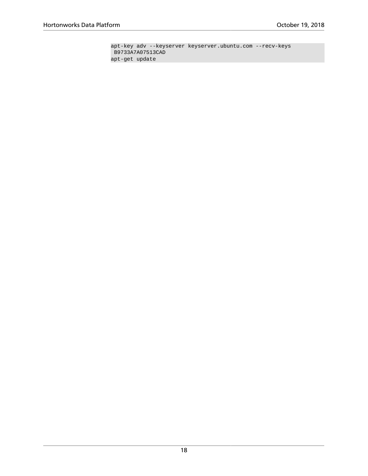apt-key adv --keyserver keyserver.ubuntu.com --recv-keys B9733A7A07513CAD apt-get update